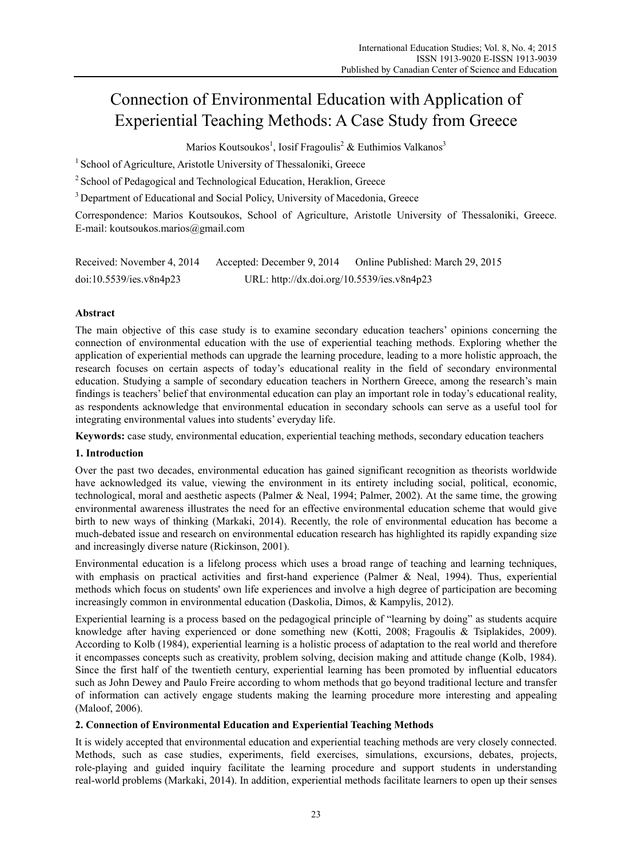# Connection of Environmental Education with Application of Experiential Teaching Methods: A Case Study from Greece

Marios Koutsoukos<sup>1</sup>, Iosif Fragoulis<sup>2</sup> & Euthimios Valkanos<sup>3</sup>

<sup>1</sup> School of Agriculture, Aristotle University of Thessaloniki, Greece

<sup>2</sup> School of Pedagogical and Technological Education, Heraklion, Greece

<sup>3</sup> Department of Educational and Social Policy, University of Macedonia, Greece

Correspondence: Marios Koutsoukos, School of Agriculture, Aristotle University of Thessaloniki, Greece. E-mail: koutsoukos.marios@gmail.com

| Received: November 4, 2014 | Accepted: December 9, 2014                 | Online Published: March 29, 2015 |
|----------------------------|--------------------------------------------|----------------------------------|
| doi:10.5539/ies.v8n4p23    | URL: http://dx.doi.org/10.5539/ies.v8n4p23 |                                  |

# **Abstract**

The main objective of this case study is to examine secondary education teachers' opinions concerning the connection of environmental education with the use of experiential teaching methods. Exploring whether the application of experiential methods can upgrade the learning procedure, leading to a more holistic approach, the research focuses on certain aspects of today's educational reality in the field of secondary environmental education. Studying a sample of secondary education teachers in Northern Greece, among the research's main findings is teachers' belief that environmental education can play an important role in today's educational reality, as respondents acknowledge that environmental education in secondary schools can serve as a useful tool for integrating environmental values into students' everyday life.

**Keywords:** case study, environmental education, experiential teaching methods, secondary education teachers

# **1. Introduction**

Over the past two decades, environmental education has gained significant recognition as theorists worldwide have acknowledged its value, viewing the environment in its entirety including social, political, economic, technological, moral and aesthetic aspects (Palmer & Neal, 1994; Palmer, 2002). At the same time, the growing environmental awareness illustrates the need for an effective environmental education scheme that would give birth to new ways of thinking (Markaki, 2014). Recently, the role of environmental education has become a much-debated issue and research on environmental education research has highlighted its rapidly expanding size and increasingly diverse nature (Rickinson, 2001).

Environmental education is a lifelong process which uses a broad range of teaching and learning techniques, with emphasis on practical activities and first-hand experience (Palmer & Neal, 1994). Thus, experiential methods which focus on students' own life experiences and involve a high degree of participation are becoming increasingly common in environmental education (Daskolia, Dimos, & Kampylis, 2012).

Experiential learning is a process based on the pedagogical principle of "learning by doing" as students acquire knowledge after having experienced or done something new (Kotti, 2008; Fragoulis & Tsiplakides, 2009). According to Kolb (1984), experiential learning is a holistic process of adaptation to the real world and therefore it encompasses concepts such as creativity, problem solving, decision making and attitude change (Kolb, 1984). Since the first half of the twentieth century, experiential learning has been promoted by influential educators such as John Dewey and Paulo Freire according to whom methods that go beyond traditional lecture and transfer of information can actively engage students making the learning procedure more interesting and appealing (Maloof, 2006).

# **2. Connection of Environmental Education and Experiential Teaching Methods**

It is widely accepted that environmental education and experiential teaching methods are very closely connected. Methods, such as case studies, experiments, field exercises, simulations, excursions, debates, projects, role-playing and guided inquiry facilitate the learning procedure and support students in understanding real-world problems (Markaki, 2014). In addition, experiential methods facilitate learners to open up their senses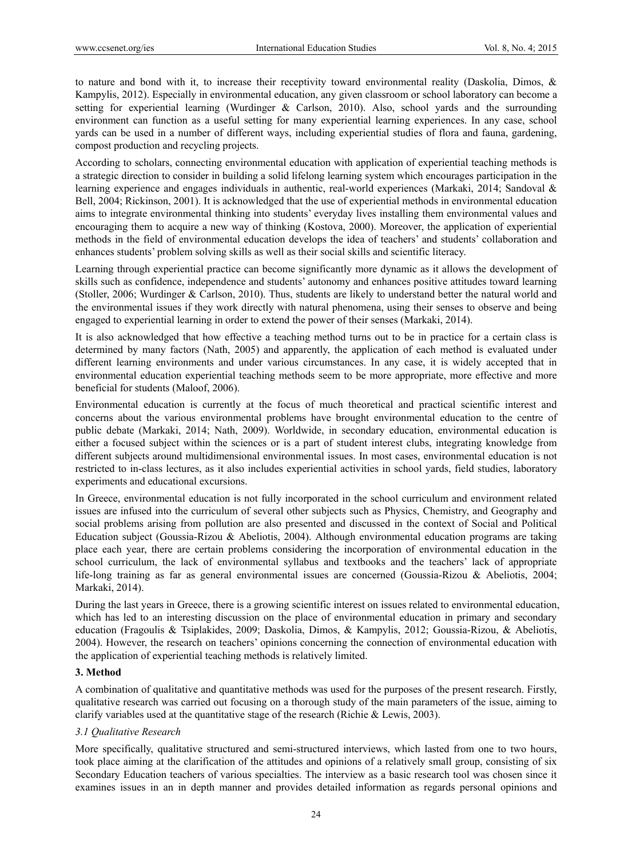to nature and bond with it, to increase their receptivity toward environmental reality (Daskolia, Dimos, & Kampylis, 2012). Especially in environmental education, any given classroom or school laboratory can become a setting for experiential learning (Wurdinger & Carlson, 2010). Also, school yards and the surrounding environment can function as a useful setting for many experiential learning experiences. In any case, school yards can be used in a number of different ways, including experiential studies of flora and fauna, gardening, compost production and recycling projects.

According to scholars, connecting environmental education with application of experiential teaching methods is a strategic direction to consider in building a solid lifelong learning system which encourages participation in the learning experience and engages individuals in authentic, real-world experiences (Markaki, 2014; Sandoval & Bell, 2004; Rickinson, 2001). It is acknowledged that the use of experiential methods in environmental education aims to integrate environmental thinking into students' everyday lives installing them environmental values and encouraging them to acquire a new way of thinking (Kostova, 2000). Moreover, the application of experiential methods in the field of environmental education develops the idea of teachers' and students' collaboration and enhances students' problem solving skills as well as their social skills and scientific literacy.

Learning through experiential practice can become significantly more dynamic as it allows the development of skills such as confidence, independence and students' autonomy and enhances positive attitudes toward learning (Stoller, 2006; Wurdinger & Carlson, 2010). Thus, students are likely to understand better the natural world and the environmental issues if they work directly with natural phenomena, using their senses to observe and being engaged to experiential learning in order to extend the power of their senses (Markaki, 2014).

It is also acknowledged that how effective a teaching method turns out to be in practice for a certain class is determined by many factors (Nath, 2005) and apparently, the application of each method is evaluated under different learning environments and under various circumstances. In any case, it is widely accepted that in environmental education experiential teaching methods seem to be more appropriate, more effective and more beneficial for students (Maloof, 2006).

Environmental education is currently at the focus of much theoretical and practical scientific interest and concerns about the various environmental problems have brought environmental education to the centre of public debate (Markaki, 2014; Nath, 2009). Worldwide, in secondary education, environmental education is either a focused subject within the sciences or is a part of student interest clubs, integrating knowledge from different subjects around multidimensional environmental issues. In most cases, environmental education is not restricted to in-class lectures, as it also includes experiential activities in school yards, field studies, laboratory experiments and educational excursions.

In Greece, environmental education is not fully incorporated in the school curriculum and environment related issues are infused into the curriculum of several other subjects such as Physics, Chemistry, and Geography and social problems arising from pollution are also presented and discussed in the context of Social and Political Education subject (Goussia-Rizou & Abeliotis, 2004). Although environmental education programs are taking place each year, there are certain problems considering the incorporation of environmental education in the school curriculum, the lack of environmental syllabus and textbooks and the teachers' lack of appropriate life-long training as far as general environmental issues are concerned (Goussia-Rizou & Abeliotis, 2004; Markaki, 2014).

During the last years in Greece, there is a growing scientific interest on issues related to environmental education, which has led to an interesting discussion on the place of environmental education in primary and secondary education (Fragoulis & Tsiplakides, 2009; Daskolia, Dimos, & Kampylis, 2012; Goussia-Rizou, & Abeliotis, 2004). However, the research on teachers' opinions concerning the connection of environmental education with the application of experiential teaching methods is relatively limited.

#### **3. Method**

A combination of qualitative and quantitative methods was used for the purposes of the present research. Firstly, qualitative research was carried out focusing on a thorough study of the main parameters of the issue, aiming to clarify variables used at the quantitative stage of the research (Richie & Lewis, 2003).

#### *3.1 Qualitative Research*

More specifically, qualitative structured and semi-structured interviews, which lasted from one to two hours, took place aiming at the clarification of the attitudes and opinions of a relatively small group, consisting of six Secondary Education teachers of various specialties. The interview as a basic research tool was chosen since it examines issues in an in depth manner and provides detailed information as regards personal opinions and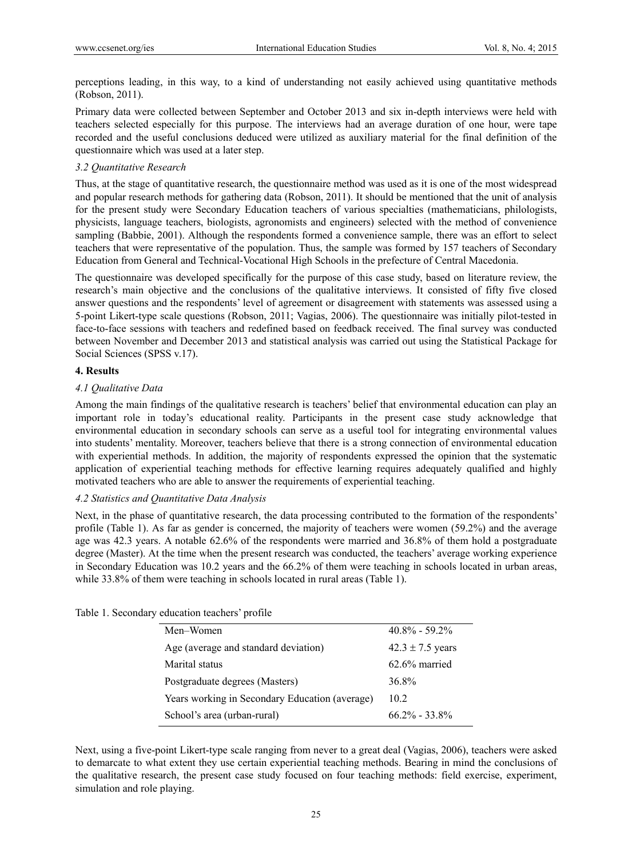perceptions leading, in this way, to a kind of understanding not easily achieved using quantitative methods (Robson, 2011).

Primary data were collected between September and October 2013 and six in-depth interviews were held with teachers selected especially for this purpose. The interviews had an average duration of one hour, were tape recorded and the useful conclusions deduced were utilized as auxiliary material for the final definition of the questionnaire which was used at a later step.

## *3.2 Quantitative Research*

Thus, at the stage of quantitative research, the questionnaire method was used as it is one of the most widespread and popular research methods for gathering data (Robson, 2011). It should be mentioned that the unit of analysis for the present study were Secondary Education teachers of various specialties (mathematicians, philologists, physicists, language teachers, biologists, agronomists and engineers) selected with the method of convenience sampling (Babbie, 2001). Although the respondents formed a convenience sample, there was an effort to select teachers that were representative of the population. Thus, the sample was formed by 157 teachers of Secondary Education from General and Technical-Vocational High Schools in the prefecture of Central Macedonia.

The questionnaire was developed specifically for the purpose of this case study, based on literature review, the research's main objective and the conclusions of the qualitative interviews. It consisted of fifty five closed answer questions and the respondents' level of agreement or disagreement with statements was assessed using a 5-point Likert-type scale questions (Robson, 2011; Vagias, 2006). The questionnaire was initially pilot-tested in face-to-face sessions with teachers and redefined based on feedback received. The final survey was conducted between November and December 2013 and statistical analysis was carried out using the Statistical Package for Social Sciences (SPSS v.17).

### **4. Results**

## *4.1 Qualitative Data*

Among the main findings of the qualitative research is teachers' belief that environmental education can play an important role in today's educational reality. Participants in the present case study acknowledge that environmental education in secondary schools can serve as a useful tool for integrating environmental values into students' mentality. Moreover, teachers believe that there is a strong connection of environmental education with experiential methods. In addition, the majority of respondents expressed the opinion that the systematic application of experiential teaching methods for effective learning requires adequately qualified and highly motivated teachers who are able to answer the requirements of experiential teaching.

## *4.2 Statistics and Quantitative Data Analysis*

Next, in the phase of quantitative research, the data processing contributed to the formation of the respondents' profile (Table 1). As far as gender is concerned, the majority of teachers were women (59.2%) and the average age was 42.3 years. A notable 62.6% of the respondents were married and 36.8% of them hold a postgraduate degree (Master). At the time when the present research was conducted, the teachers' average working experience in Secondary Education was 10.2 years and the 66.2% of them were teaching in schools located in urban areas, while 33.8% of them were teaching in schools located in rural areas (Table 1).

| Men-Women                                      | $40.8\% - 59.2\%$    |
|------------------------------------------------|----------------------|
| Age (average and standard deviation)           | $42.3 \pm 7.5$ years |
| Marital status                                 | $62.6\%$ married     |
| Postgraduate degrees (Masters)                 | 36.8%                |
| Years working in Secondary Education (average) | 10.2                 |
| School's area (urban-rural)                    | $662\% - 338\%$      |
|                                                |                      |

Table 1. Secondary education teachers' profile

Next, using a five-point Likert-type scale ranging from never to a great deal (Vagias, 2006), teachers were asked to demarcate to what extent they use certain experiential teaching methods. Bearing in mind the conclusions of the qualitative research, the present case study focused on four teaching methods: field exercise, experiment, simulation and role playing.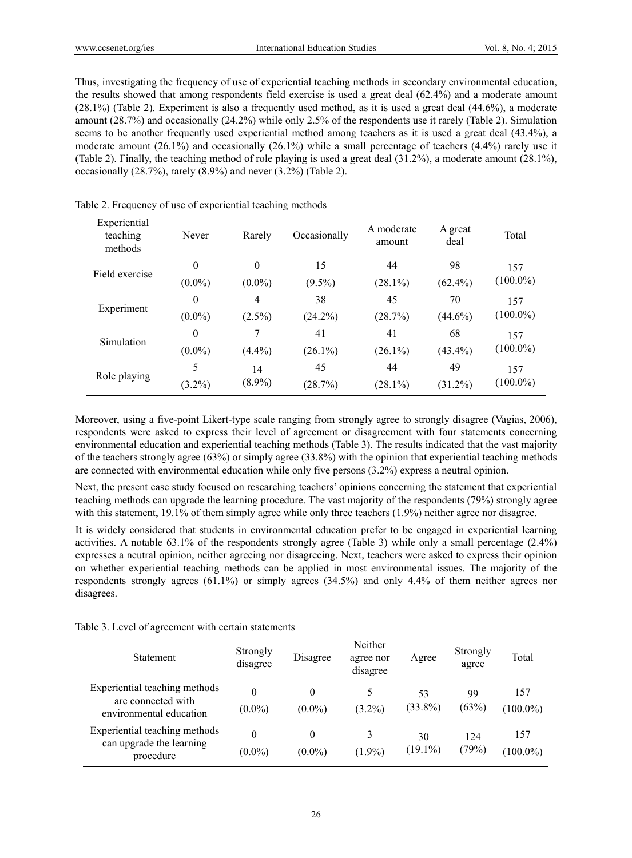Thus, investigating the frequency of use of experiential teaching methods in secondary environmental education, the results showed that among respondents field exercise is used a great deal (62.4%) and a moderate amount (28.1%) (Table 2). Experiment is also a frequently used method, as it is used a great deal (44.6%), a moderate amount (28.7%) and occasionally (24.2%) while only 2.5% of the respondents use it rarely (Table 2). Simulation seems to be another frequently used experiential method among teachers as it is used a great deal (43.4%), a moderate amount  $(26.1\%)$  and occasionally  $(26.1\%)$  while a small percentage of teachers  $(4.4\%)$  rarely use it (Table 2). Finally, the teaching method of role playing is used a great deal (31.2%), a moderate amount (28.1%), occasionally (28.7%), rarely (8.9%) and never (3.2%) (Table 2).

| Experiential<br>teaching<br>methods | Never          | Rarely    | Occasionally | A moderate<br>amount | A great<br>deal | Total       |  |
|-------------------------------------|----------------|-----------|--------------|----------------------|-----------------|-------------|--|
|                                     | $\theta$       | $\theta$  | 15           | 44                   | 98              | 157         |  |
| Field exercise                      | $(0.0\%)$      | $(0.0\%)$ | $(9.5\%)$    | $(28.1\%)$           | $(62.4\%)$      | $(100.0\%)$ |  |
|                                     | $\overline{0}$ | 4         | 38           | 45                   | 70              | 157         |  |
| Experiment                          | $(0.0\%)$      | $(2.5\%)$ | $(24.2\%)$   | (28.7%)              | $(44.6\%)$      | $(100.0\%)$ |  |
| Simulation                          | $\overline{0}$ | 7         | 41           | 41                   | 68              | 157         |  |
|                                     | $(0.0\%)$      | $(4.4\%)$ | $(26.1\%)$   | $(26.1\%)$           | $(43.4\%)$      | $(100.0\%)$ |  |
|                                     | 5              | 14        | 45           | 44                   | 49              | 157         |  |
| Role playing                        | $(3.2\%)$      | $(8.9\%)$ | (28.7%)      | $(28.1\%)$           | $(31.2\%)$      | $(100.0\%)$ |  |

Table 2. Frequency of use of experiential teaching methods

Moreover, using a five-point Likert-type scale ranging from strongly agree to strongly disagree (Vagias, 2006), respondents were asked to express their level of agreement or disagreement with four statements concerning environmental education and experiential teaching methods (Table 3). The results indicated that the vast majority of the teachers strongly agree (63%) or simply agree (33.8%) with the opinion that experiential teaching methods are connected with environmental education while only five persons (3.2%) express a neutral opinion.

Next, the present case study focused on researching teachers' opinions concerning the statement that experiential teaching methods can upgrade the learning procedure. The vast majority of the respondents (79%) strongly agree with this statement, 19.1% of them simply agree while only three teachers (1.9%) neither agree nor disagree.

It is widely considered that students in environmental education prefer to be engaged in experiential learning activities. A notable 63.1% of the respondents strongly agree (Table 3) while only a small percentage (2.4%) expresses a neutral opinion, neither agreeing nor disagreeing. Next, teachers were asked to express their opinion on whether experiential teaching methods can be applied in most environmental issues. The majority of the respondents strongly agrees (61.1%) or simply agrees (34.5%) and only 4.4% of them neither agrees nor disagrees.

| Table 3. Level of agreement with certain statements |  |
|-----------------------------------------------------|--|
|-----------------------------------------------------|--|

| <b>Statement</b>                                                               | Strongly<br>disagree  | Disagree              | Neither<br>agree nor<br>disagree | Agree            | Strongly<br>agree | Total              |
|--------------------------------------------------------------------------------|-----------------------|-----------------------|----------------------------------|------------------|-------------------|--------------------|
| Experiential teaching methods<br>are connected with<br>environmental education | $\theta$<br>$(0.0\%)$ | $\theta$<br>$(0.0\%)$ | 5<br>$(3.2\%)$                   | 53<br>$(33.8\%)$ | 99<br>(63%)       | 157<br>$(100.0\%)$ |
| Experiential teaching methods<br>can upgrade the learning<br>procedure         | 0<br>$(0.0\%)$        | $\Omega$<br>$(0.0\%)$ | 3<br>$(1.9\%)$                   | 30<br>$(19.1\%)$ | 124<br>(79%)      | 157<br>$(100.0\%)$ |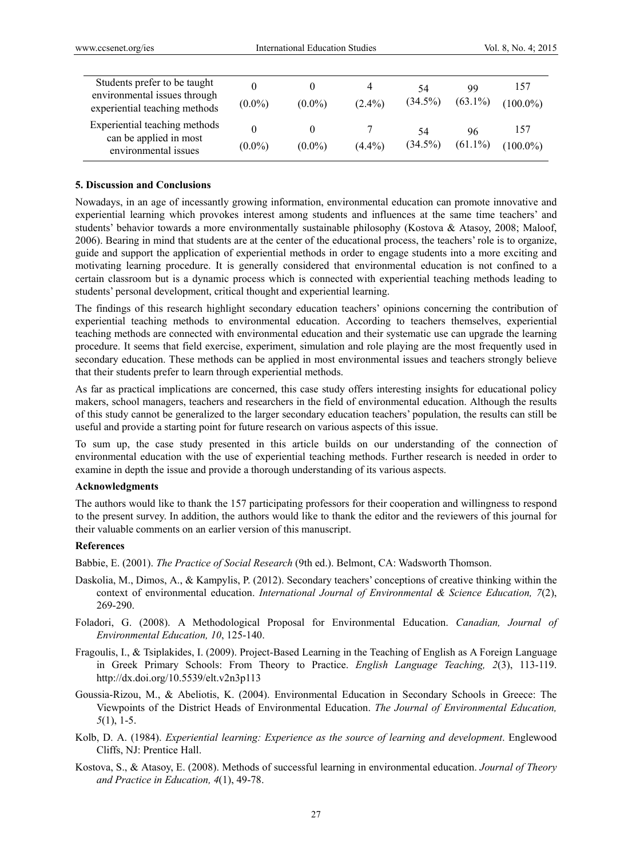| Students prefer to be taught<br>environmental issues through<br>experiential teaching methods | $(0.0\%)$ | $(0.0\%)$ | 4<br>$(2.4\%)$ | 54<br>$(34.5\%)$ | 99<br>$(63.1\%)$ | 157<br>$(100.0\%)$ |
|-----------------------------------------------------------------------------------------------|-----------|-----------|----------------|------------------|------------------|--------------------|
| Experiential teaching methods<br>can be applied in most<br>environmental issues               | $(0.0\%)$ | $(0.0\%)$ | $(4.4\%)$      | 54<br>$(34.5\%)$ | 96<br>$(61.1\%)$ | 157<br>$(100.0\%)$ |

#### **5. Discussion and Conclusions**

Nowadays, in an age of incessantly growing information, environmental education can promote innovative and experiential learning which provokes interest among students and influences at the same time teachers' and students' behavior towards a more environmentally sustainable philosophy (Kostova & Atasoy, 2008; Maloof, 2006). Bearing in mind that students are at the center of the educational process, the teachers' role is to organize, guide and support the application of experiential methods in order to engage students into a more exciting and motivating learning procedure. It is generally considered that environmental education is not confined to a certain classroom but is a dynamic process which is connected with experiential teaching methods leading to students' personal development, critical thought and experiential learning.

The findings of this research highlight secondary education teachers' opinions concerning the contribution of experiential teaching methods to environmental education. According to teachers themselves, experiential teaching methods are connected with environmental education and their systematic use can upgrade the learning procedure. It seems that field exercise, experiment, simulation and role playing are the most frequently used in secondary education. These methods can be applied in most environmental issues and teachers strongly believe that their students prefer to learn through experiential methods.

As far as practical implications are concerned, this case study offers interesting insights for educational policy makers, school managers, teachers and researchers in the field of environmental education. Although the results of this study cannot be generalized to the larger secondary education teachers' population, the results can still be useful and provide a starting point for future research on various aspects of this issue.

To sum up, the case study presented in this article builds on our understanding of the connection of environmental education with the use of experiential teaching methods. Further research is needed in order to examine in depth the issue and provide a thorough understanding of its various aspects.

#### **Acknowledgments**

The authors would like to thank the 157 participating professors for their cooperation and willingness to respond to the present survey. In addition, the authors would like to thank the editor and the reviewers of this journal for their valuable comments on an earlier version of this manuscript.

#### **References**

Babbie, E. (2001). *The Practice of Social Research* (9th ed.). Belmont, CA: Wadsworth Thomson.

- Daskolia, Μ., Dimos, Α., & Kampylis, P. (2012). Secondary teachers' conceptions of creative thinking within the context of environmental education. *International Journal of Environmental & Science Education, 7*(2), 269-290.
- Foladori, G. (2008). A Methodological Proposal for Environmental Education. *Canadian, Journal of Environmental Education, 10*, 125-140.
- Fragoulis, I., & Tsiplakides, I. (2009). Project-Based Learning in the Teaching of English as A Foreign Language in Greek Primary Schools: From Theory to Practice. *English Language Teaching, 2*(3), 113-119. http://dx.doi.org/10.5539/elt.v2n3p113
- Goussia-Rizou, M., & Abeliotis, Κ. (2004). Environmental Education in Secondary Schools in Greece: The Viewpoints of the District Heads of Environmental Education. *The Journal of Environmental Education, 5*(1), 1-5.
- Kolb, D. A. (1984). *Experiential learning: Experience as the source of learning and development*. Englewood Cliffs, NJ: Prentice Hall.
- Kostova, S., & Atasoy, E. (2008). Methods of successful learning in environmental education. *Journal of Theory and Practice in Education, 4*(1), 49-78.